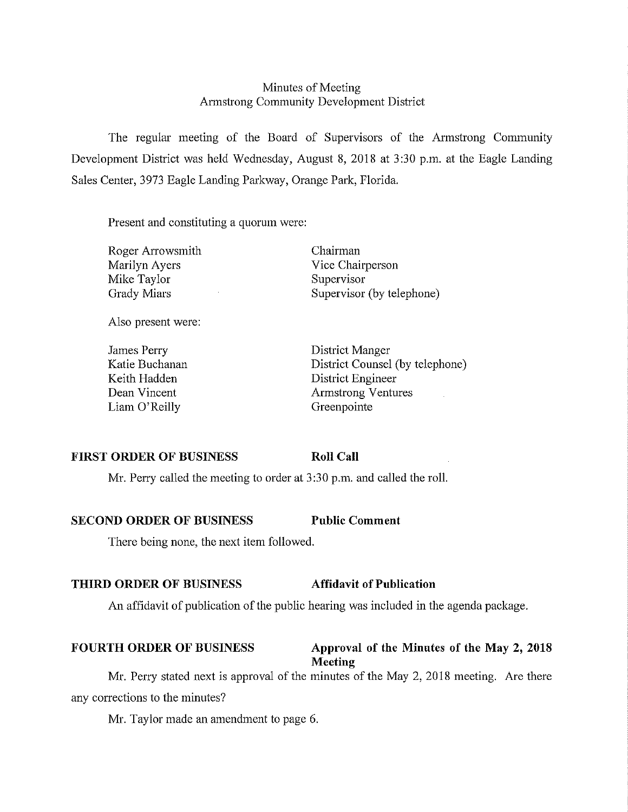## Minutes of Meeting Armstrong Community Development District

The regular meeting of the Board of Supervisors of the Armstrong Conununity Development District was held Wednesday, August 8, 2018 at 3:30 p.m. at the Eagle Landing Sales Center, 3973 Eagle Landing Parkway, Orange Park, Florida.

Present and constituting a quorum were:

| Roger Arrowsmith |
|------------------|
| Marilyn Ayers    |
| Mike Taylor      |
| Grady Miars      |

Chairman Vice Chairperson Supervisor Supervisor (by telephone)

Also present were:

James Perry Katie Buchanan Keith Hadden Dean Vincent Liam O'Reilly

District Manger District Counsel (by telephone) District Engineer Armstrong Ventures Greenpointe

#### **FIRST ORDER OF BUSINESS**

**Roll Call** 

Mr. Perry called the meeting to order at  $3:30$  p.m. and called the roll.

#### **SECOND ORDER OF BUSINESS Public Comment**

There being none, the next item followed.

## **THIRD ORDER OF BUSINESS Affidavit of Publication**

An affidavit of publication of the public hearing was included in the agenda package.

## FOURTH ORDER OF BUSINESS Approval of the Minutes of the May 2, 2018

**Meeting** 

Mr. Perry stated next is approval of the minutes of the May 2, 2018 meeting. Are there any corrections to the minutes?

Mr. Taylor made an amendment to page 6.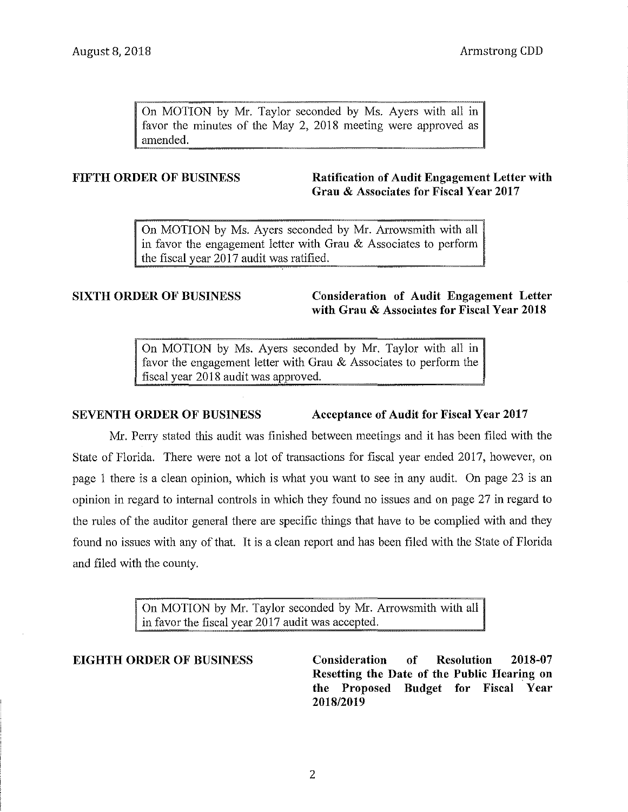On MOTION by Mr. Taylor seconded by Ms. Ayers with all in favor the minutes of the May 2, 2018 meeting were approved as amended.

### **FIFTH ORDER OF BUSINESS** Ratification of Audit Engagement Letter with **Grau & Associates for Fiscal Year 2017**

On MOTION by Ms. Ayers seconded by Mr. Arrowsmith with all in favor the engagement letter with Grau & Associates to perform the fiscal year 2017 audit was ratified.

**SIXTH ORDER OF BUSINESS Consideration of Audit Engagement Letter with Grau & Associates for Fiscal Year 2018** 

> On MOTION by Ms. Ayers seconded by Mr. Taylor with all in favor the engagement letter with Grau & Associates to perform the fiscal year 2018 audit was approved.

### **SEVENTH ORDER OF BUSINESS** Acceptance of Audit for Fiscal Year 2017

Mr. Perry stated this audit was finished between meetings and it has been filed with the State of Florida. There were not a lot of transactions for fiscal year ended 2017, however, on page 1 there is a clean opinion, which is what you want to see in any audit. On page 23 is an opinion in regard to internal controls in which they found no issues and on page 27 in regard to the rules of the auditor general there are specific things that have to be complied with and they found no issues with any of that. It is a clean report and has been filed with the State of Florida and filed with the county.

> On MOTION by Mr. Taylor seconded by Mr. Arrowsmith with all in favor the fiscal year 2017 audit was accepted.

**EIGHTH ORDER OF BUSINESS Consideration of Resolution 2018-07 Resetting the Date of the Public Hearing on the Proposed Budget for Fiscal Year 2018/2019**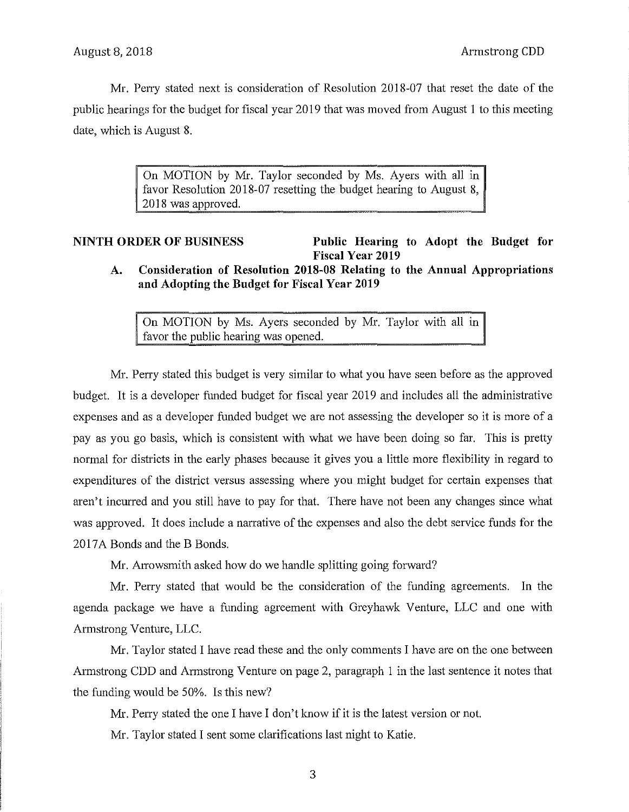Mr. Perry stated next is consideration of Resolution 2018-07 that reset the date of the public hearings for the budget for fiscal year 2019 that was moved from August 1 to this meeting date, which is August 8.

> On MOTION by Mr. Taylor seconded by Ms. Ayers with all in favor Resolution 2018-07 resetting the budget hearing to August 8, 2018 was approved.

# **NINTH ORDER OF BUSINESS Public Hearing to Adopt the Budget for Fiscal Year 2019**

**A. Consideration of Resolution 2018-08 Relating to the Annual Appropriations and Adopting the Budget for Fiscal Year 2019** 

On MOTION by Ms. Ayers seconded by Mr. Taylor with all in favor the public hearing was opened.

Mr. Perry stated this budget is very similar to what you have seen before as the approved budget. It is a developer funded budget for fiscal year 2019 and includes all the administrative expenses and as a developer funded budget we are not assessing the developer so it is more of a pay as you go basis, which is consistent with what we have been doing so far. This is pretty normal for districts in the early phases because it gives you a little more flexibility in regard to expenditures of the district versus assessing where you might budget for certain expenses that aren't incurred and you still have to pay for that. There have not been any changes since what was approved. It does include a narrative of the expenses and also the debt service funds for the 2017A Bonds and the B Bonds.

Mr. Arrowsmith asked how do we handle splitting going forward?

Mr. Perry stated that would be the consideration of the funding agreements. In the agenda package we have a funding agreement with Greyhawk Venture, LLC and one with Armstrong Venture, LLC.

Mr. Taylor stated I have read these and the only comments I have are on the one between Armstrong CDD and Armstrong Venture on page 2, paragraph 1 in the last sentence it notes that the funding would be 50%. Is this new?

Mr. Perry stated the one I have I don't know if it is the latest version or not.

Mr. Taylor stated I sent some clarifications last night to Katie.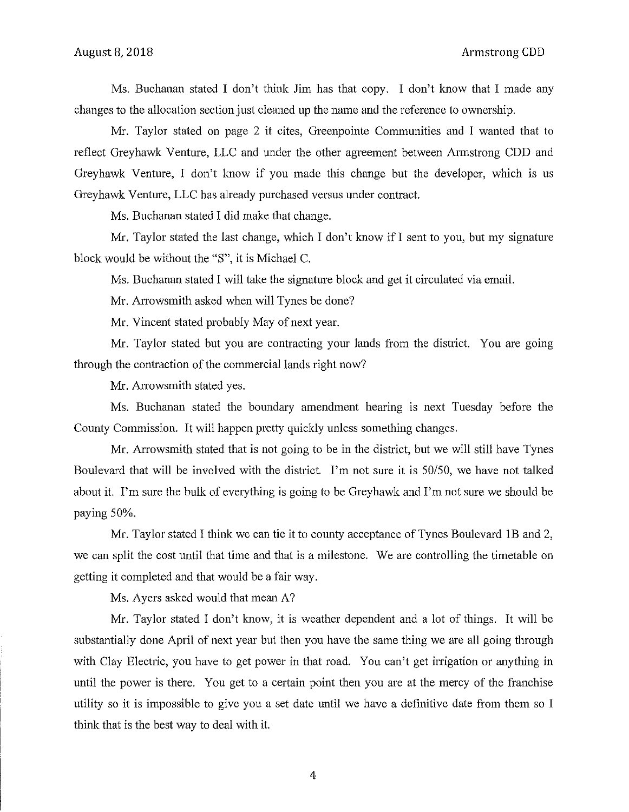Ms. Buchanan stated I don't think Jim has that copy. I don't know that I made any changes to the allocation section just cleaned up the name and the reference to ownership.

Mr. Taylor stated on page 2 it cites, Greenpointe Communities and I wanted that to reflect Greyhawk Venture, LLC and under the other agreement between Armstrong CDD and Greyhawk Venture, I don't know if you made this change but the developer, which is us Greyhawk Venture, LLC has already purchased versus under contract.

Ms. Buchanan stated I did make that change.

Mr. Taylor stated the last change, which I don't know if I sent to you, but my signature block would be without the "S", it is Michael C.

Ms. Buchanan stated I will take the signature block and get it circulated via email.

Mr. Arrowsmith asked when will Tynes be done?

Mr. Vincent stated probably May of next year.

Mr. Taylor stated but you are contracting your lands from the district. You are going through the contraction of the commercial lands right now?

Mr. Arrowsmith stated yes.

Ms. Buchanan stated the boundary amendment hearing is next Tuesday before the County Commission. It will happen pretty quickly unless something changes.

Mr. Arrowsmith stated that is not going to be in the district, but we will still have Tynes Boulevard that will be involved with the district. I'm not sure it is 50/50, we have not talked about it. I'm sure the bulk of everything is going to be Greyhawk and I'm not sure we should be paying 50%.

Mr. Taylor stated I think we can tie it to county acceptance of Tynes Boulevard lB and 2, we can split the cost until that time and that is a milestone. We are controlling the timetable on getting it completed and that would be a fair way.

Ms. Ayers asked would that mean A?

Mr. Taylor stated I don't know, it is weather dependent and a lot of things. It will be substantially done April of next year but then you have the same thing we are all going through with Clay Electric, you have to get power in that road. You can't get irrigation or anything in until the power is there. You get to a certain point then you are at the mercy of the franchise utility so it is impossible to give you a set date until we have a definitive date from them so I think that is the best way to deal with it.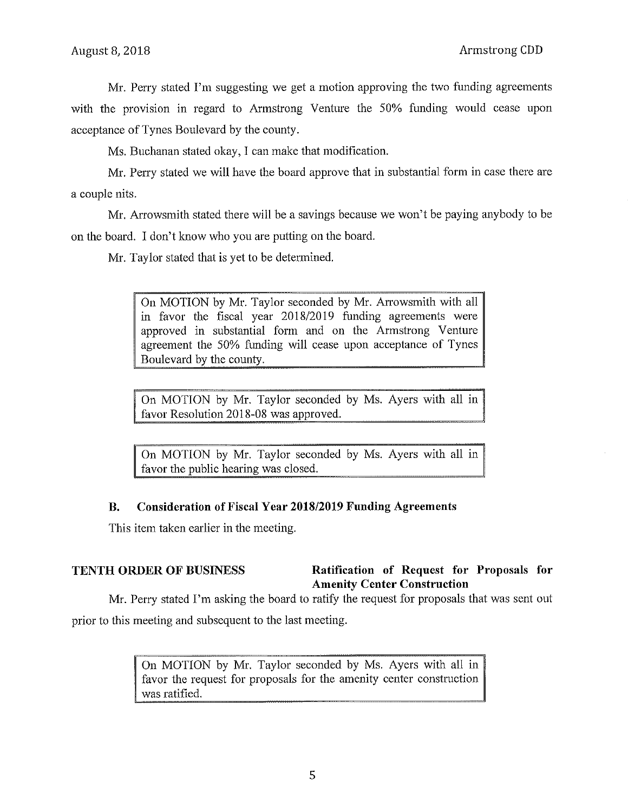Mr. Perry stated I'm suggesting we get a motion approving the two funding agreements with the provision in regard to Armstrong Venture the 50% funding would cease upon acceptance of Tynes Boulevard by the county.

Ms. Buchanan stated okay, I can make that modification.

Mr. Perry stated we will have the board approve that in substantial form in case there are a couple nits.

Mr. Arrowsmith stated there will be a savings because we won't be paying anybody to be on the board. I don't know who you are putting on the board.

Mr. Taylor stated that is yet to be determined.

On MOTION by Mr. Taylor seconded by Mr. Arrowsmith with all in favor the fiscal year 2018/2019 funding agreements were approved in substantial form and on the Armstrong Venture agreement the 50% funding will cease upon acceptance of Tynes Boulevard by the county.

On MOTION by Mr. Taylor seconded by Ms. Ayers with all infavor Resolution 2018-08 was approved.

On MOTION by Mr. Taylor seconded by Ms. Ayers with all in favor the public hearing was closed.

## **B. Consideration of Fiscal Year 2018/2019 Funding Agreements**

This item taken earlier in the meeting.

## **TENTH ORDER OF BUSINESS** Ratification of Request for Proposals for **Amenity Center Construction**

Mr. Perry stated I'm asking the board to ratify the request for proposals that was sent out prior to this meeting and subsequent to the last meeting.

> On MOTION by Mr. Taylor seconded by Ms. Ayers with all in favor the request for proposals for the amenity center construction was ratified.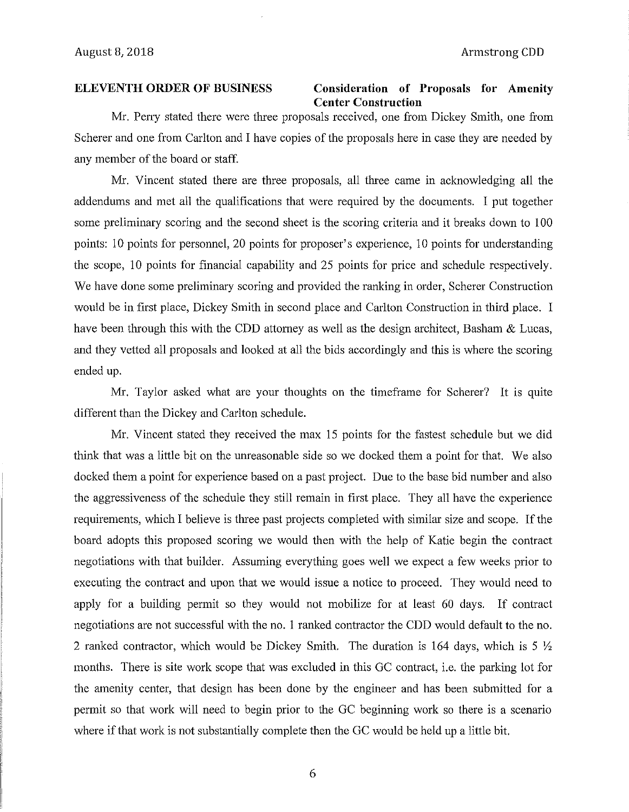#### **ELEVENTH ORDER OF BUSINESS**

## **Consideration of Proposals for Amenity Center Construction**

Mr. Perry stated there were three proposals received, one from Dickey Smith, one from Scherer and one from Carlton and I have copies of the proposals here in case they are needed by any member of the board or staff.

Mr. Vincent stated there are three proposals, all three came in acknowledging all the addendums and met all the qualifications that were required by the documents. I put together some preliminary scoring and the second sheet is the scoring criteria and it breaks down to 100 points: 10 points for personnel, 20 points for proposer's experience, 10 points for understanding the scope, 10 points for financial capability and 25 points for price and schedule respectively. We have done some preliminary scoring and provided the ranking in order, Scherer Construction would be in first place, Dickey Smith in second place and Carlton Construction in third place. I have been through this with the CDD attorney as well as the design architect, Basham  $&\&$  Lucas, and they vetted all proposals and looked at all the bids accordingly and this is where the scoring ended up.

Mr. Taylor asked what are your thoughts on the timeframe for Scherer? It is quite different than the Dickey and Carlton schedule.

Mr. Vincent stated they received the max 15 points for the fastest schedule but we did think that was a little bit on the unreasonable side so we docked them a point for that. We also docked them a point for experience based on a past project. Due to the base bid number and also the aggressiveness of the schedule they still remain in first place. They all have the experience requirements, which I believe is three past projects completed with similar size and scope. If the board adopts this proposed scoring we would then with the help of Katie begin the contract negotiations with that builder. Assuming everything goes well we expect a few weeks prior to executing the contract and upon that we would issue a notice to proceed. They would need to apply for a building permit so they would not mobilize for at least 60 days. If contract negotiations are not successful with the no. 1 ranked contractor the CDD would default to the no. 2 ranked contractor, which would be Dickey Smith. The duration is 164 days, which is 5  $\frac{1}{2}$ months. There is site work scope that was excluded in this GC contract, i.e. the parking lot for the amenity center, that design has been done by the engineer and has been submitted for a permit so that work will need to begin prior to the GC beginning work so there is a scenario where if that work is not substantially complete then the GC would be held up a little bit.

6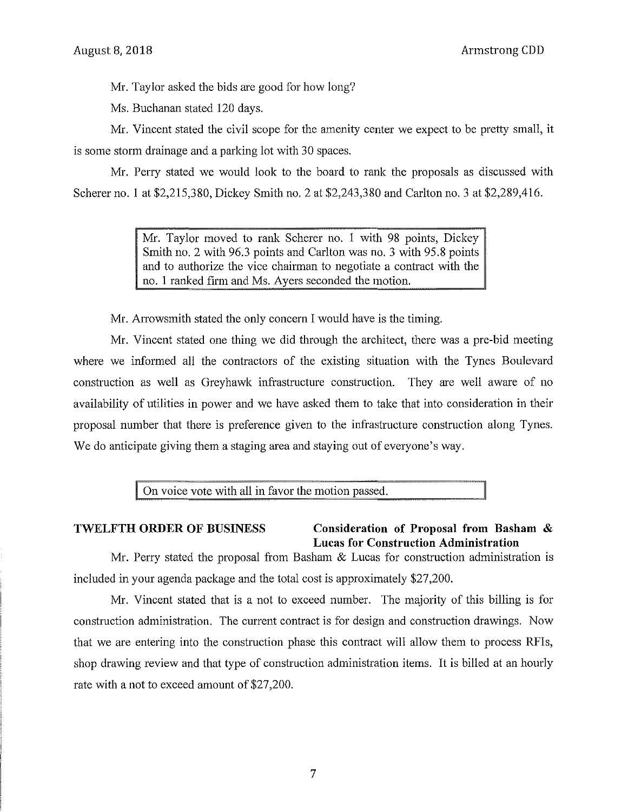Armstrong CDD

Mr. Taylor asked the bids are good for how long?

Ms. Buchanan stated 120 days.

Mr. Vincent stated the civil scope for the amenity center we expect to be pretty small, it is some storm drainage and a parking lot with 30 spaces.

Mr. Peny stated we would look to the board to rank the proposals as discussed with Scherer no. 1 at \$2,215,380, Dickey Smith no. 2 at \$2,243,380 and Carlton no. 3 at \$2,289,416.

> Mr. Taylor moved to rank Scherer no. 1 with 98 points, Dickey Smith no. 2 with 96.3 points and Carlton was no. 3 with 95.8 points and to authorize the vice chairman to negotiate a contract with the no. 1 ranked firm and Ms. Ayers seconded the motion.

Mr. Arrowsmith stated the only concern I would have is the timing.

Mr. Vincent stated one thing we did through the architect, there was a pre-bid meeting where we informed all the contractors of the existing situation with the Tynes Boulevard construction as well as Greyhawk infrastructure construction. They are well aware of no availability of utilities in power and we have asked them to take that into consideration in their proposal number that there is preference given to the infrastructure construction along Tynes. We do anticipate giving them a staging area and staying out of everyone's way.

On voice vote with all in favor the motion passed.

#### **TWELFTH ORDER OF BUSINESS Consideration of Proposal from Basham** & **Lucas for Construction Administration**

Mr. Perry stated the proposal from Basham & Lucas for construction administration is included in your agenda package and the total cost is approximately \$27,200.

Mr. Vincent stated that is a not to exceed number. The majority of this billing is for construction administration. The current contract is for design and construction drawings. Now that we are entering into the construction phase this contract will allow them to process RFis, shop drawing review and that type of construction administration items. It is billed at an hourly rate with a not to exceed amount of \$27,200.

7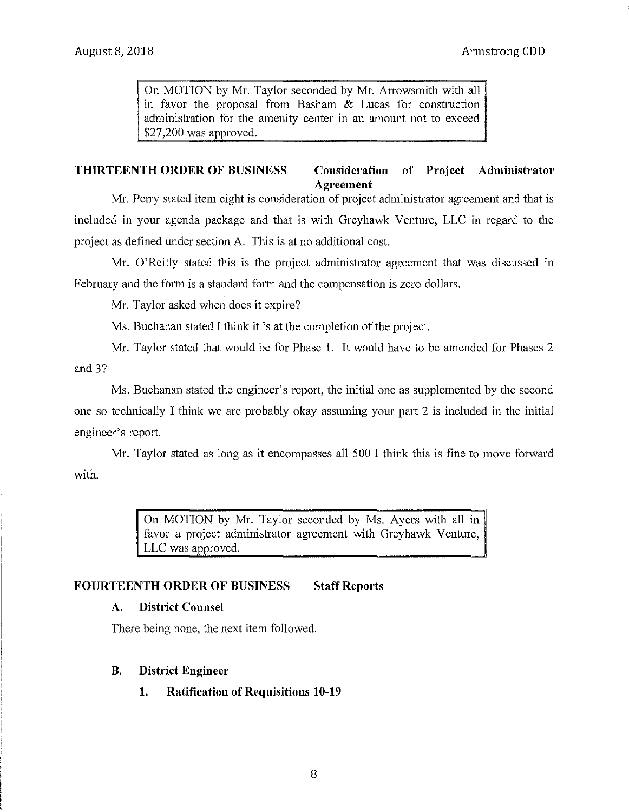On MOTION by Mr. Taylor seconded by Mr. Arrowsmith with all in favor the proposal from Basham  $&$  Lucas for construction administration for the amenity center in an amount not to exceed \$27,200 was approved.

#### **THIRTEENTH ORDER OF BUSINESS Consideration of Project Administrator Agreement**

Mr. Perry stated item eight is consideration of project administrator agreement and that is included in your agenda package and that is with Greyhawk Venture, LLC in regard to the project as defined under section A. This is at no additional cost.

Mr. O'Reilly stated this is the project administrator agreement that was discussed in February and the form is a standard form and the compensation is zero dollars.

Mr. Taylor asked when does it expire?

Ms. Buchanan stated I think it is at the completion of the project.

Mr. Taylor stated that would be for Phase 1. It would have to be amended for Phases 2 and 3?

Ms. Buchanan stated the engineer's report, the initial one as supplemented by the second one so technically I think we are probably okay assuming your part 2 is included in the initial engineer's report.

with. Mr. Taylor stated as long as it encompasses all 500 I think this is fine to move forward

> On MOTION by Mr. Taylor seconded by Ms. Ayers with all in favor a project administrator agreement with Greyhawk Venture, LLC was approved.

### FOURTEENTH ORDER OF BUSINESS Staff Reports

### **A. District Counsel**

There being none, the next item followed.

### **B. District Engineer**

**1. Ratification of Requisitions 10-19**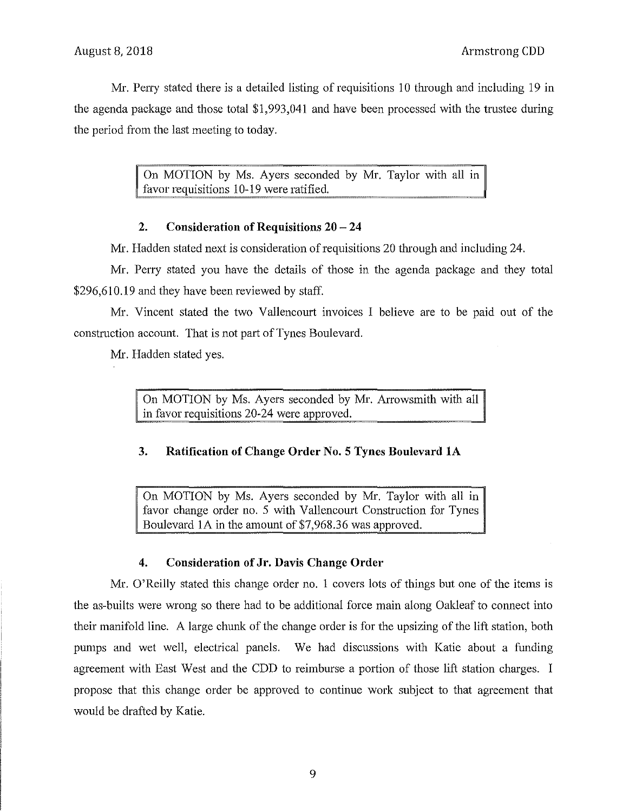Mr. Perry stated there is a detailed listing of requisitions 10 through and including 19 in the agenda package and those total \$1,993,041 and have been processed with the trustee during the period from the last meeting to today.

> On MOTION by Ms. Ayers seconded by Mr. Taylor with all in favor requisitions 10-19 were ratified.

## **2. Consideration of Requisitions 20 - 24**

Mr. Hadden stated next is consideration of requisitions 20 through and including 24.

Mr. Perry stated you have the details of those in the agenda package and they total \$296,610.19 and they have been reviewed by staff.

Mr. Vincent stated the two Vallencourt invoices I believe are to be paid out of the construction account. That is not part of Tynes Boulevard.

Mr. Hadden stated yes.

On MOTION by Ms. Ayers seconded by Mr. Arrowsmith with all in favor requisitions 20-24 were approved.

## **3. Ratification of Change Order No. 5 Tynes Boulevard lA**

On MOTION by Ms. Ayers seconded by Mr. Taylor with all in favor change order no. 5 with Vallencourt Construction for Tynes Boulevard 1A in the amount of \$7,968.36 was approved.

### **4. Consideration of Jr. Davis Change Order**

Mr. O'Reilly stated this change order no. 1 covers lots of things but one of the items is the as-builts were wrong so there had to be additional force main along Oakleaf to connect into their manifold line. A large chunk of the change order is for the upsizing of the lift station, both pumps and wet well, electrical panels. We had discussions with Katie about a funding agreement with East West and the CDD to reimburse a portion of those lift station charges. I propose that this change order be approved to continue work snbject to that agreement that would be drafted by Katie.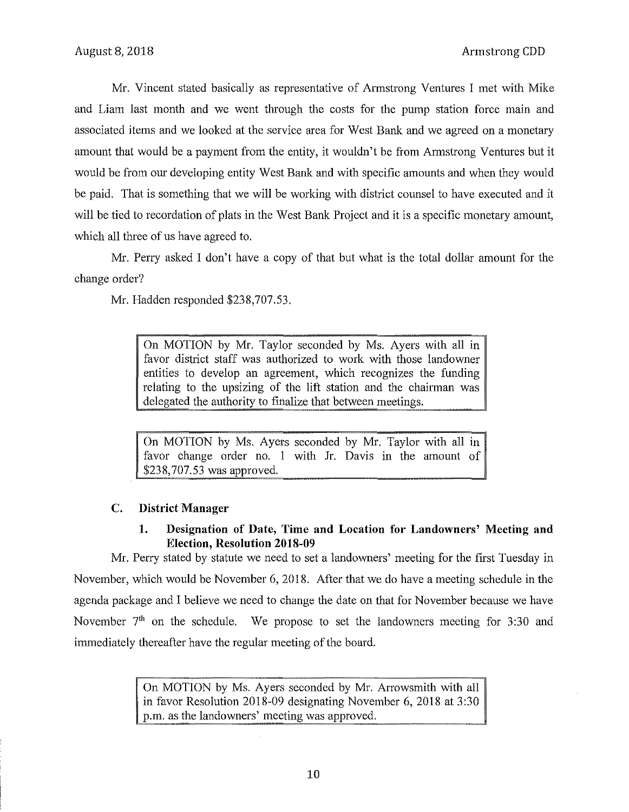Mr. Vincent stated basically as representative of Armstrong Ventures I met with Mike and Liam last month and we went through the costs for the pump station force main and associated items and we looked at the service area for West Bank and we agreed on a monetary amount that would be a payment from the entity, it wouldn't be from Armstrong Ventures but it would be from our developing entity West Bank and with specific amounts and when they would be paid. That is something that we will be working with district counsel to have executed and it will be tied to recordation of plats in the West Bank Project and it is a specific monetary amount, which all three of us have agreed to.

Mr. Perry asked I don't have a copy of that but what is the total dollar amount for the change order?

Mr. Hadden responded \$238,707.53.

On MOTION by Mr. Taylor seconded by Ms. Ayers with all in favor district staff was authorized to work with those landowner entities to develop an agreement, which recognizes the funding relating to the upsizing of the lift station and the chairman was delegated the authority to finalize that between meetings.

On MOTION by Ms. Ayers seconded by Mr. Taylor with all in favor change order no. 1 with Jr. Davis in the amount of \$238,707.53 was approved.

## **C. District Manager**

## **1. Designation of Date, Tirne and Location for Landowners' Meeting and Election, Resolution 2018-09**

Mr. Perry stated by statute we need to set a landowners' meeting for the first Tuesday in November, which would be November 6, 2018. After that we do have a meeting schedule in the agenda package and I believe we need to change the date on that for November because we have November  $7<sup>th</sup>$  on the schedule. We propose to set the landowners meeting for 3:30 and immediately thereafter have the regular meeting of the board.

> On MOTION by Ms. Ayers seconded by Mr. Arrowsmith with all in favor Resolution 2018-09 designating November 6, 2018 at 3:30 p.m. as the landowners' meeting was approved.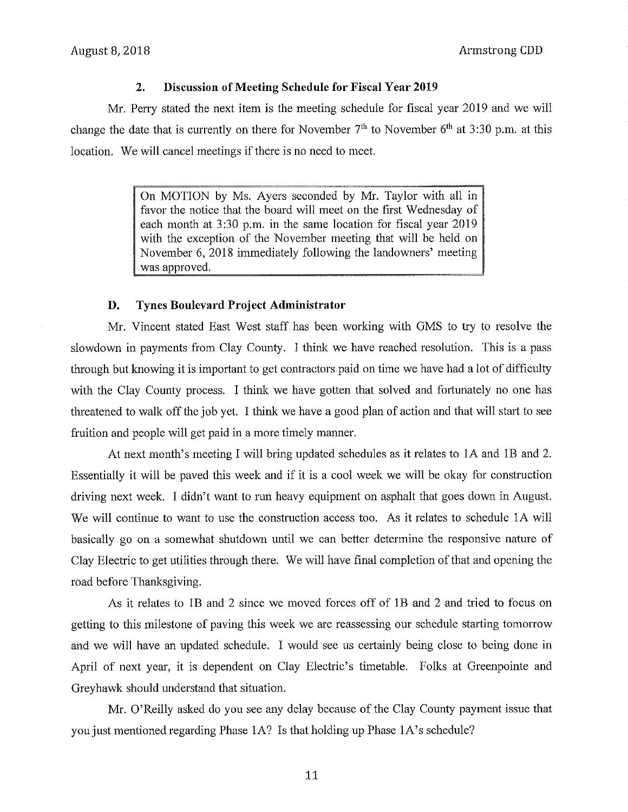### **2. Discussion of Meeting Schedule for Fiscal Year 2019**

Mr. Perry stated the next item is the meeting schedule for fiscal year 2019 and we will change the date that is currently on there for November  $7<sup>th</sup>$  to November  $6<sup>th</sup>$  at 3:30 p.m. at this location. We will cancel meetings if there is no need to meet.

> On MOTION by Ms. Ayers seconded by Mr. Taylor with all in favor the notice that the board will meet on the first Wednesday of each month at 3:30 p.m. in the same location for fiscal year 2019 with the exception of the November meeting that will be held on November 6, 2018 immediately following the landowners' meeting was approved.

#### **D. Tynes Boulevard Project Administrator**

Mr. Vincent stated East West staff has been working with GMS to try to resolve the slowdown in payments from Clay County. I think we have reached resolution. This is a pass through but knowing it is important to get contractors paid on time we have had a lot of difficulty with the Clay County process. I think we have gotten that solved and fortunately no one has threatened to walk off the job yet. I think we have a good plan of action and that will start to see fruition and people will get paid in a more timely manner.

At next month's meeting I will bring updated schedules as it relates to 1A and 1B and 2. Essentially it will be paved this week and if it is a cool week we will be okay for construction driving next week. I didn't want to run heavy equipment on asphalt that goes down in August. We will continue to want to use the construction access too. As it relates to schedule IA will basically go on a somewhat shutdown until we can better determine the responsive nature of Clay Electric to get utilities through there. We will have final completion of that and opening the road before Thanksgiving.

As it relates to 1B and 2 since we moved forces off of 1B and 2 and tried to focus on getting to this milestone of paving this week we are reassessing our schedule starting tomorrow and we will have an updated schedule. I would see us certainly being close to being done in April of next year, it is dependent on Clay Electric's timetable. Folks at Greenpointe and Greyhawk should understand that situation.

Mr. O'Reilly asked do you see any delay because of the Clay County payment issue that you just mentioned regarding Phase 1A? Is that holding up Phase 1A's schedule?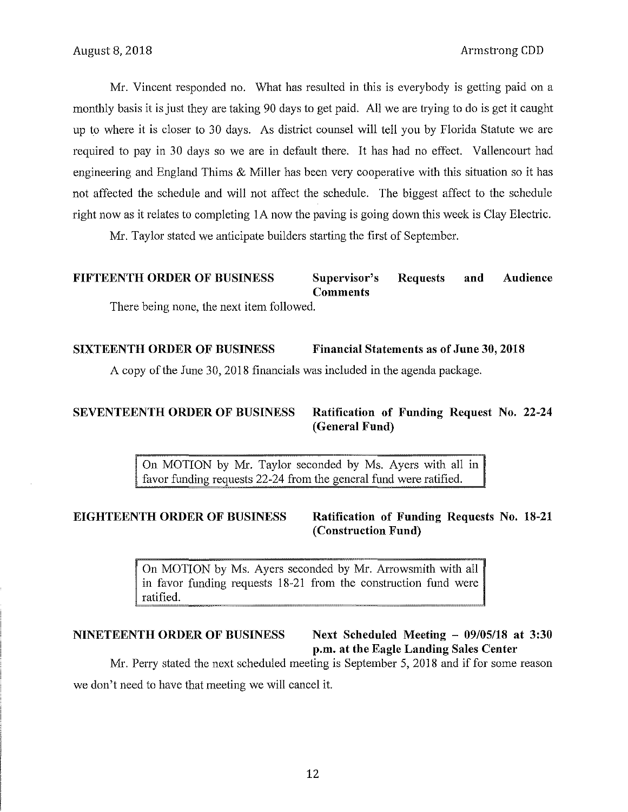Mr. Vincent responded no. What has resulted in this is everybody is getting paid on a monthly basis it is just they are taking 90 days to get paid. All we are trying to do is get it caught up to where it is closer to 30 days. As district counsel will tell you by Florida Statute we are required to pay in 30 days so we are in default there. It has had no effect. Vallencourt had engineering and England Thims & Miller has been very cooperative with this situation so it has not affected the schedule and will not affect the schedule. The biggest affect to the schedule right now as it relates to completing IA now the paving is going down this week is Clay Electric.

Mr. Taylor stated we anticipate builders starting the first of September.

# **FIFTEENTH ORDER OF BUSINESS Supervisor's Requests and Audience Comments**

There being none, the next item followed.

### **SIXTEENTH ORDER OF BUSINESS Financial Statements as of June 30, 2018**

A copy of the June 30, 2018 financials was included in the agenda package.

**SEVENTEENTH ORDER OF BUSINESS Ratification of Funding Request** No. **22-24 (General Fund)** 

> On MOTION by Mr. Taylor seconded by Ms. Ayers with all in favor funding requests 22-24 from the general fund were ratified.

**EIGHTEENTH ORDER OF BUSINESS Ratification of Funding Requests** No. **18-21 (Construction Fund)** 

> On MOTION by Ms. Ayers seconded by Mr. Arrowsmith with all in favor funding requests 18-21 from the construction fund were ratified.

## **NINETEENTH ORDER OF BUSINESS Next Scheduled Meeting - 09/05/18 at 3:30 p.m. at the Eagle Landing Sales Center**

Mr. Perry stated the next scheduled meeting is September 5, 2018 and if for some reason we don't need to have that meeting we will cancel it.